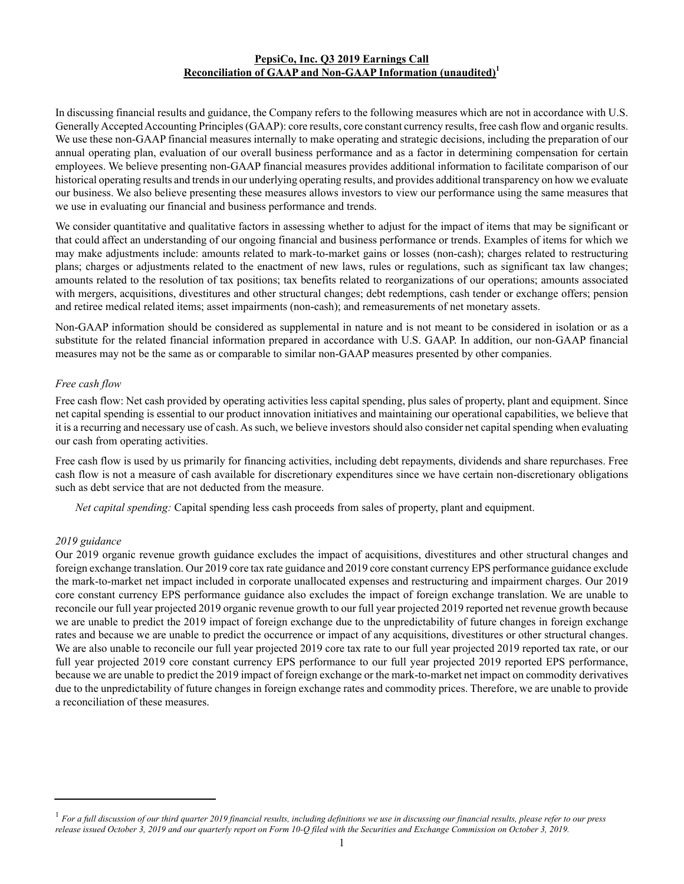## **PepsiCo, Inc. Q3 2019 Earnings Call Reconciliation of GAAP and Non-GAAP Information (unaudited)<sup>1</sup>**

In discussing financial results and guidance, the Company refers to the following measures which are not in accordance with U.S. Generally Accepted Accounting Principles (GAAP): core results, core constant currency results, free cash flow and organic results. We use these non-GAAPfinancial measures internally to make operating and strategic decisions, including the preparation of our annual operating plan, evaluation of our overall business performance and as a factor in determining compensation for certain employees. We believe presenting non-GAAPfinancial measures provides additional information to facilitate comparison of our historical operating results and trends in our underlying operating results, and provides additional transparency on how we evaluate our business. We also believe presenting these measures allows investors to view our performance using the same measures that we use in evaluating our financial and business performance and trends.

We consider quantitative and qualitative factors in assessing whether to adjust for the impact of items that may be significant or that could affect an understanding of our ongoing financial and business performance or trends. Examples of items for which we may make adjustments include: amounts related to mark-to-market gains or losses (non-cash); charges related to restructuring plans; charges or adjustments related to the enactment of new laws, rules or regulations, such as significant tax law changes; amounts related to the resolution of tax positions; tax benefits related to reorganizations of our operations; amounts associated with mergers, acquisitions, divestitures and other structural changes; debt redemptions, cash tender or exchange offers; pension and retiree medical related items; asset impairments (non-cash); and remeasurements of net monetary assets.

Non-GAAP information should be considered as supplemental in nature and is not meant to be considered in isolation or as a substitute for the related financial information prepared in accordance with U.S. GAAP. In addition, our non-GAAP financial measures may not be the same as or comparable to similar non-GAAP measures presented by other companies.

# *Free cash flow*

Free cash flow: Net cash provided by operating activities less capital spending, plus sales of property, plant and equipment. Since net capital spending is essential to our product innovation initiatives and maintaining our operational capabilities, we believe that it is a recurring and necessary use of cash. As such, we believe investors should also consider net capital spending when evaluating our cash from operating activities.

Free cash flow is used by us primarily for financing activities, including debt repayments, dividends and share repurchases. Free cash flow is not a measure of cash available for discretionary expenditures since we have certain non-discretionary obligations such as debt service that are not deducted from the measure.

*Net capital spending:* Capital spending less cash proceeds from sales of property, plant and equipment.

## *2019 guidance*

Our 2019 organic revenue growth guidance excludes the impact of acquisitions, divestitures and other structural changes and foreign exchange translation. Our 2019 core tax rate guidance and 2019 core constant currency EPS performance guidance exclude the mark-to-market net impact included in corporate unallocated expenses and restructuring and impairment charges. Our 2019 core constant currency EPS performance guidance also excludes the impact of foreign exchange translation. We are unable to reconcile our full year projected 2019 organic revenue growth to our full year projected 2019 reported net revenue growth because we are unable to predict the 2019 impact of foreign exchange due to the unpredictability of future changes in foreign exchange rates and because we are unable to predict the occurrence or impact of any acquisitions, divestitures or other structural changes. We are also unable to reconcile our full year projected 2019 core tax rate to our full year projected 2019 reported tax rate, or our full year projected 2019 core constant currency EPS performance to our full year projected 2019 reported EPS performance, because we are unable to predict the 2019 impact of foreign exchange or the mark-to-market net impact on commodity derivatives due to the unpredictability of future changes in foreign exchange rates and commodity prices. Therefore, we are unable to provide a reconciliation of these measures.

<sup>&</sup>lt;sup>1</sup> For a full discussion of our third quarter 2019 financial results, including definitions we use in discussing our financial results, please refer to our press *release issued October 3, 2019 and our quarterly report on Form 10-Q filed with the Securities and Exchange Commission on October 3, 2019.*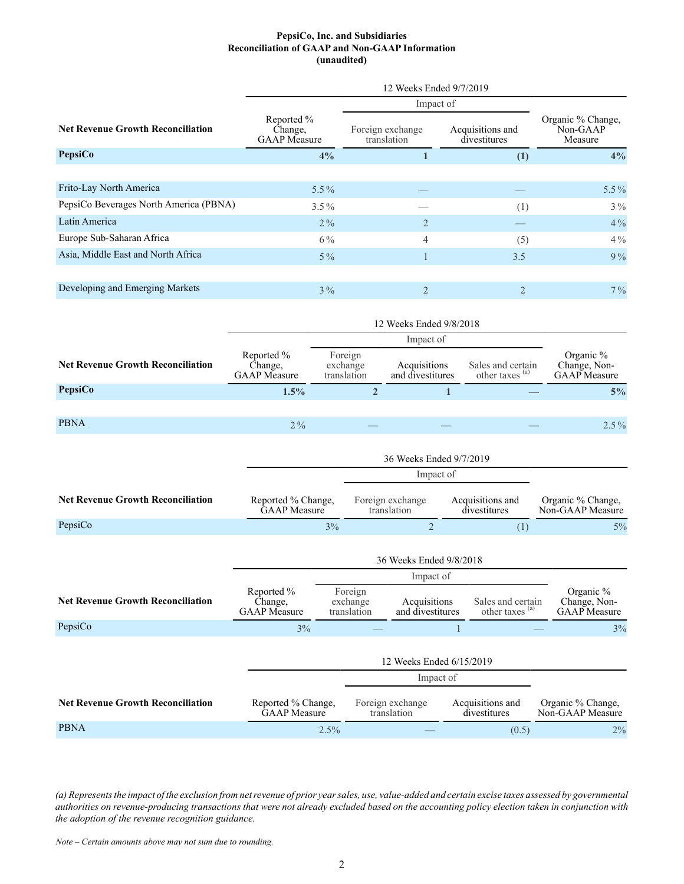#### **PepsiCo, Inc. and Subsidiaries Reconciliation of GAAP and Non-GAAP Information (unaudited)**

|                                          | 12 Weeks Ended 9/7/2019                      |                                 |                                  |                                          |  |  |  |  |
|------------------------------------------|----------------------------------------------|---------------------------------|----------------------------------|------------------------------------------|--|--|--|--|
|                                          |                                              | Impact of                       |                                  |                                          |  |  |  |  |
| <b>Net Revenue Growth Reconciliation</b> | Reported %<br>Change,<br><b>GAAP</b> Measure | Foreign exchange<br>translation | Acquisitions and<br>divestitures | Organic % Change,<br>Non-GAAP<br>Measure |  |  |  |  |
| <b>PepsiCo</b>                           | 4%                                           |                                 | (1)                              | 4%                                       |  |  |  |  |
|                                          |                                              |                                 |                                  |                                          |  |  |  |  |
| Frito-Lay North America                  | $5.5\%$                                      |                                 |                                  | $5.5\%$                                  |  |  |  |  |
| PepsiCo Beverages North America (PBNA)   | $3.5\%$                                      |                                 | (1)                              | $3\%$                                    |  |  |  |  |
| Latin America                            | $2\%$                                        | $\overline{2}$                  |                                  | $4\%$                                    |  |  |  |  |
| Europe Sub-Saharan Africa                | $6\%$                                        | 4                               | (5)                              | $4\%$                                    |  |  |  |  |
| Asia, Middle East and North Africa       | $5\%$                                        |                                 | 3.5                              | 9%                                       |  |  |  |  |
|                                          |                                              |                                 |                                  |                                          |  |  |  |  |
| Developing and Emerging Markets          | $3\%$                                        | $\overline{2}$                  | $\overline{2}$                   | $7\%$                                    |  |  |  |  |

|                                          | 12 Weeks Ended 9/8/2018                      |                                    |                                    |                                  |                                  |                                                 |                                                  |  |  |
|------------------------------------------|----------------------------------------------|------------------------------------|------------------------------------|----------------------------------|----------------------------------|-------------------------------------------------|--------------------------------------------------|--|--|
|                                          |                                              | Impact of                          |                                    |                                  |                                  |                                                 |                                                  |  |  |
| <b>Net Revenue Growth Reconciliation</b> | Reported %<br>Change,<br><b>GAAP</b> Measure |                                    | Foreign<br>exchange<br>translation | Acquisitions<br>and divestitures |                                  | Sales and certain<br>other taxes <sup>(a)</sup> | Organic %<br>Change, Non-<br><b>GAAP</b> Measure |  |  |
| PepsiCo                                  | 1.5%                                         | $\overline{2}$                     |                                    |                                  | 1                                |                                                 | 5%                                               |  |  |
|                                          |                                              |                                    |                                    |                                  |                                  |                                                 |                                                  |  |  |
| <b>PBNA</b>                              | $2\%$                                        |                                    |                                    |                                  |                                  |                                                 | $2.5\%$                                          |  |  |
|                                          |                                              |                                    |                                    |                                  |                                  |                                                 |                                                  |  |  |
|                                          | 36 Weeks Ended 9/7/2019                      |                                    |                                    |                                  |                                  |                                                 |                                                  |  |  |
|                                          |                                              | Impact of                          |                                    |                                  |                                  |                                                 |                                                  |  |  |
| <b>Net Revenue Growth Reconciliation</b> |                                              | Reported % Change,<br>GAAP Measure |                                    | Foreign exchange<br>translation  | Acquisitions and<br>divestitures |                                                 | Organic % Change,<br>Non-GAAP Measure            |  |  |
| PepsiCo                                  |                                              | 3%                                 |                                    | $\overline{2}$                   |                                  | (1)                                             | $5\%$                                            |  |  |
|                                          |                                              |                                    |                                    |                                  |                                  |                                                 |                                                  |  |  |
|                                          | 36 Weeks Ended 9/8/2018                      |                                    |                                    |                                  |                                  |                                                 |                                                  |  |  |
|                                          |                                              |                                    |                                    | Impact of                        |                                  |                                                 |                                                  |  |  |
|                                          | $\mathbf{n} = 10$<br>$\sim$ $\sim$ $\sim$    |                                    |                                    |                                  |                                  |                                                 |                                                  |  |  |

| <b>Net Revenue Growth Reconciliation</b> | Reported %<br>Change,<br><b>GAAP</b> Measure | Foreign<br>exchange<br>translation | Acquisitions<br>and divestitures | Sales and certain<br>other taxes <sup>(a)</sup> | Organic $\%$<br>Change, Non-<br><b>GAAP</b> Measure |  |  |  |  |
|------------------------------------------|----------------------------------------------|------------------------------------|----------------------------------|-------------------------------------------------|-----------------------------------------------------|--|--|--|--|
| PepsiCo                                  | 3%                                           |                                    |                                  |                                                 | 3%                                                  |  |  |  |  |
|                                          |                                              | 12 Weeks Ended 6/15/2019           |                                  |                                                 |                                                     |  |  |  |  |
|                                          |                                              | Impact of                          |                                  |                                                 |                                                     |  |  |  |  |

| <b>Net Revenue Growth Reconciliation</b> | Reported % Change.  | Foreign exchange | Acquisitions and | Organic % Change, |
|------------------------------------------|---------------------|------------------|------------------|-------------------|
|                                          | <b>GAAP</b> Measure | translation      | divestitures     | Non-GAAP Measure  |
| <b>PBNA</b>                              | $2.5\%$             |                  | (0.5)            | $2\%$             |

*(a) Represents the impact of the exclusion from net revenue of prior year sales, use, value-added and certain excise taxes assessed by governmental authorities on revenue-producing transactions that were not already excluded based on the accounting policy election taken in conjunction with the adoption of the revenue recognition guidance.*

*Note – Certain amounts above may not sum due to rounding.*